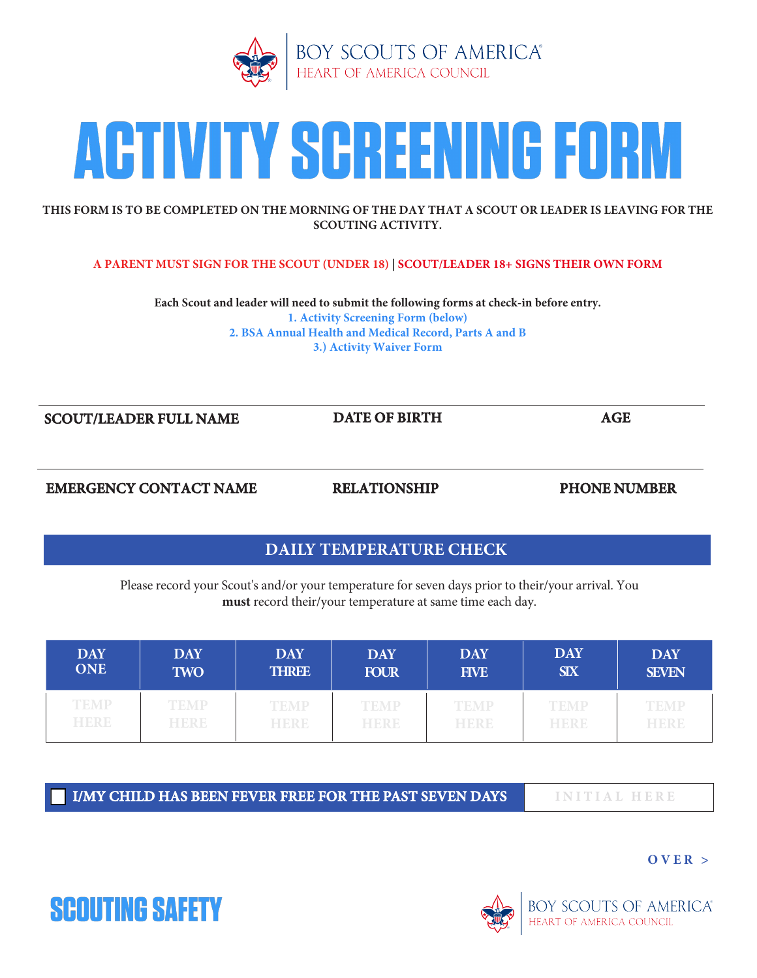



### **THIS FORM IS TO BE COMPLETED ON THE MORNING OF THE DAY THAT A SCOUT OR LEADER IS LEAVING FOR THE SCOUTING ACTIVITY.**

## **A PARENT MUST SIGN FOR THE SCOUT (UNDER 18) | SCOUT/LEADER 18+ SIGNS THEIR OWN FORM**

**Each Scout and leader will need to submit the following forms at check-in before entry. 1. Activity Screening Form (below) 2. BSA Annual Health and Medical Record, Parts A and B 3.) Activity Waiver Form**

**SCOUT/LEADER FULL NAME DATE OF BIRTH AGE** 

**EMERGENCY CONTACT NAME RELATIONSHIP PHONE NUMBER** 

# **DAILY TEMPERATURE CHECK**

Please record your Scout's and/or your temperature for seven days prior to their/your arrival. You **must** record their/your temperature at same time each day.

| <b>DAY</b>  | <b>DAY</b>  | <b>DAY</b>   | <b>DAY</b>  | <b>DAY</b>  | <b>DAY</b>  | <b>DAY</b>   |
|-------------|-------------|--------------|-------------|-------------|-------------|--------------|
| <b>ONE</b>  | <b>TWO</b>  | <b>THREE</b> | <b>FOUR</b> | <b>FIVE</b> | <b>SIX</b>  | <b>SEVEN</b> |
| <b>TEMP</b> | <b>TEMP</b> | <b>TEMP</b>  | <b>TEMP</b> | <b>TEMP</b> | <b>TEMP</b> | <b>TEMP</b>  |
| <b>HERE</b> | HERE        | HERE         | HERE        | HERE        | <b>HERE</b> | HERE         |

**I/MY CHILD HAS BEEN FEVER FREE FOR THE PAST SEVEN DAYS INITIAL HERE**

**OVER >**





 $\overline{\phantom{a}}$